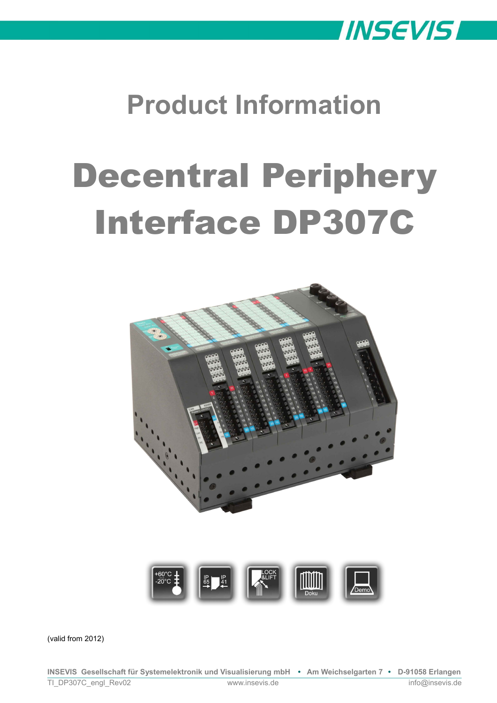

## **Product Information**

# Decentral Periphery Interface DP307C



(valid from 2012)

**INSEVIS Gesellschaft für Systemelektronik und Visualisierung mbH • Am Weichselgarten 7 • D-91058 Erlangen** TI\_DP307C\_engl\_Rev02 www.insevis.de info@insevis.de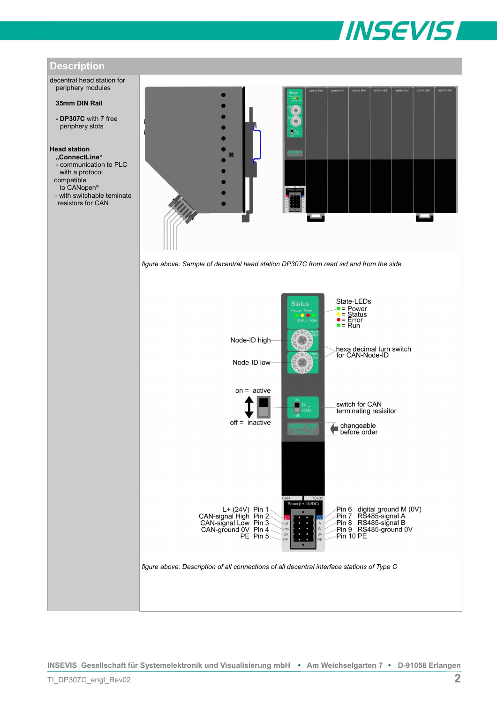



**INSEVIS Gesellschaft für Systemelektronik und Visualisierung mbH • Am Weichselgarten 7 • D-91058 Erlangen**